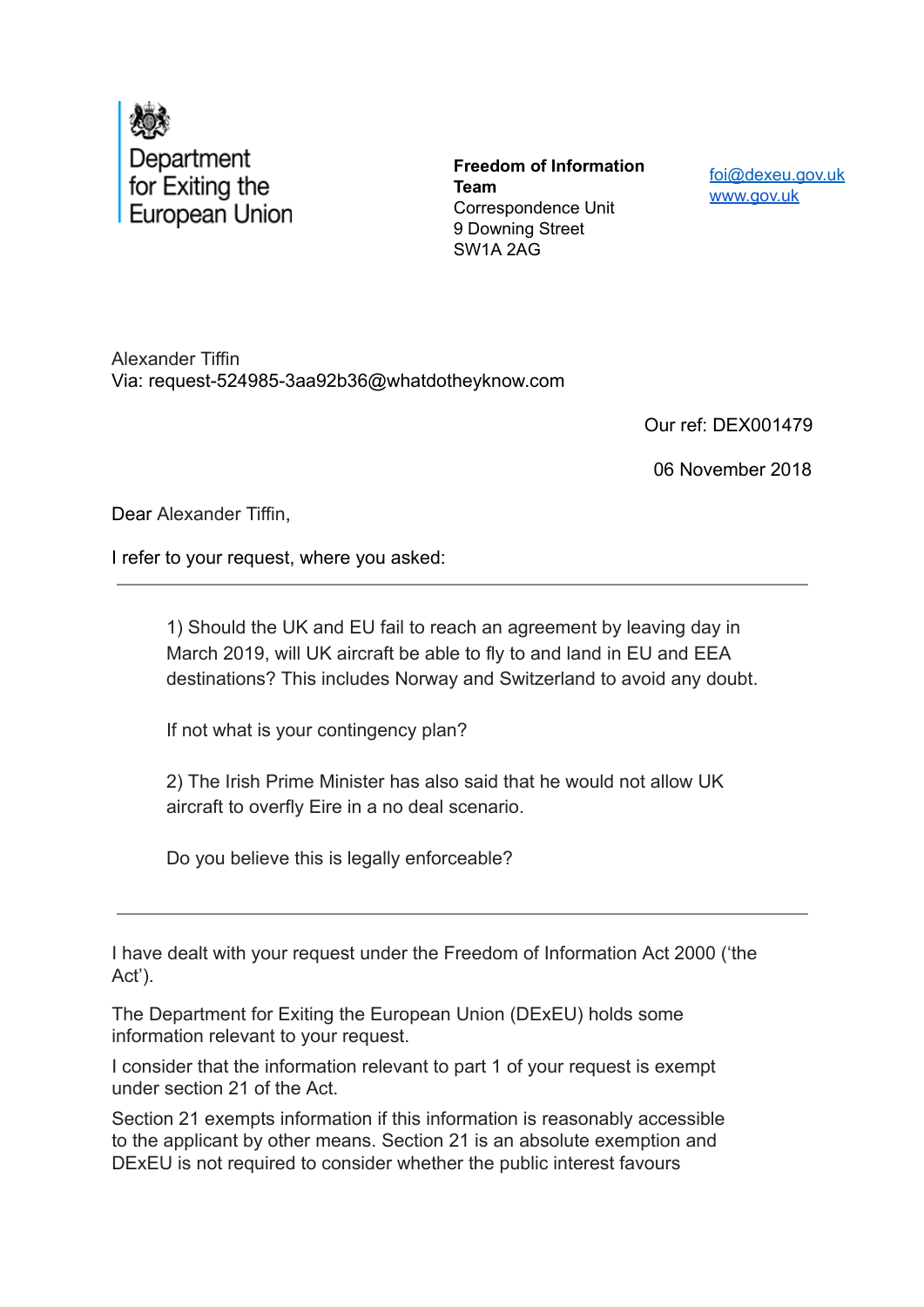

**Freedom of Information Team** Correspondence Unit 9 Downing Street SW1A 2AG

foi@dexeu.gov.uk www.gov.uk

Alexander Tiffin Via: request-524985-3aa92b36@whatdotheyknow.com

Our ref: DEX001479

06 November 2018

Dear Alexander Tiffin,

I refer to your request, where you asked:

1) Should the UK and EU fail to reach an agreement by leaving day in March 2019, will UK aircraft be able to fly to and land in EU and EEA destinations? This includes Norway and Switzerland to avoid any doubt.

If not what is your contingency plan?

2) The Irish Prime Minister has also said that he would not allow UK aircraft to overfly Eire in a no deal scenario.

Do you believe this is legally enforceable?

I have dealt with your request under the Freedom of Information Act 2000 ('the Act').

The Department for Exiting the European Union (DExEU) holds some information relevant to your request.

I consider that the information relevant to part 1 of your request is exempt under section 21 of the Act.

Section 21 exempts information if this information is reasonably accessible to the applicant by other means. Section 21 is an absolute exemption and DExEU is not required to consider whether the public interest favours